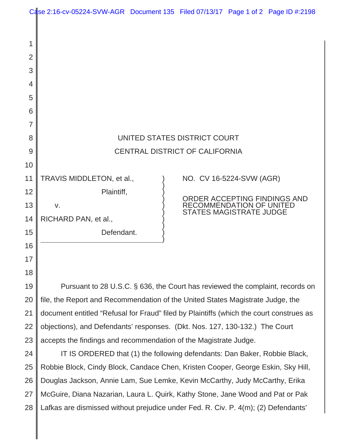|                | Case 2:16-cv-05224-SVW-AGR Document 135 Filed 07/13/17 Page 1 of 2 Page ID #:2198       |  |                                 |  |  |  |
|----------------|-----------------------------------------------------------------------------------------|--|---------------------------------|--|--|--|
|                |                                                                                         |  |                                 |  |  |  |
| 1              |                                                                                         |  |                                 |  |  |  |
| $\overline{2}$ |                                                                                         |  |                                 |  |  |  |
| 3              |                                                                                         |  |                                 |  |  |  |
| 4              |                                                                                         |  |                                 |  |  |  |
| 5              |                                                                                         |  |                                 |  |  |  |
| 6              |                                                                                         |  |                                 |  |  |  |
| 7              |                                                                                         |  |                                 |  |  |  |
| 8              | UNITED STATES DISTRICT COURT                                                            |  |                                 |  |  |  |
| 9              | CENTRAL DISTRICT OF CALIFORNIA                                                          |  |                                 |  |  |  |
| 10             |                                                                                         |  |                                 |  |  |  |
| 11             | TRAVIS MIDDLETON, et al.,                                                               |  | NO. CV 16-5224-SVW (AGR)        |  |  |  |
| 12             | Plaintiff,                                                                              |  | ORDER ACCEPTING FINDINGS AND    |  |  |  |
| 13             | V.                                                                                      |  | <b>RECOMMENDATION OF UNITED</b> |  |  |  |
| 14             | STATES MAGISTRATE JUDGE<br>RICHARD PAN, et al.,                                         |  |                                 |  |  |  |
| 15             | Defendant.                                                                              |  |                                 |  |  |  |
| 16             |                                                                                         |  |                                 |  |  |  |
| 17             |                                                                                         |  |                                 |  |  |  |
| 18             |                                                                                         |  |                                 |  |  |  |
| 19             | Pursuant to 28 U.S.C. § 636, the Court has reviewed the complaint, records on           |  |                                 |  |  |  |
| 20             | file, the Report and Recommendation of the United States Magistrate Judge, the          |  |                                 |  |  |  |
| 21             | document entitled "Refusal for Fraud" filed by Plaintiffs (which the court construes as |  |                                 |  |  |  |
| 22             | objections), and Defendants' responses. (Dkt. Nos. 127, 130-132.) The Court             |  |                                 |  |  |  |
| 23             | accepts the findings and recommendation of the Magistrate Judge.                        |  |                                 |  |  |  |
| 24             | IT IS ORDERED that (1) the following defendants: Dan Baker, Robbie Black,               |  |                                 |  |  |  |
| 25             | Robbie Block, Cindy Block, Candace Chen, Kristen Cooper, George Eskin, Sky Hill,        |  |                                 |  |  |  |
| 26             | Douglas Jackson, Annie Lam, Sue Lemke, Kevin McCarthy, Judy McCarthy, Erika             |  |                                 |  |  |  |
| 27             | McGuire, Diana Nazarian, Laura L. Quirk, Kathy Stone, Jane Wood and Pat or Pak          |  |                                 |  |  |  |
| 28             | Lafkas are dismissed without prejudice under Fed. R. Civ. P. 4(m); (2) Defendants'      |  |                                 |  |  |  |